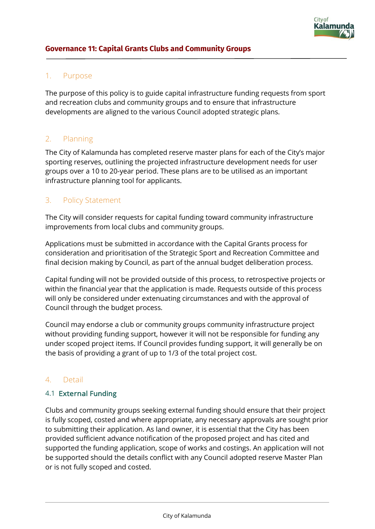

#### 1. Purpose

The purpose of this policy is to guide capital infrastructure funding requests from sport and recreation clubs and community groups and to ensure that infrastructure developments are aligned to the various Council adopted strategic plans.

### 2. Planning

The City of Kalamunda has completed reserve master plans for each of the City's major sporting reserves, outlining the projected infrastructure development needs for user groups over a 10 to 20-year period. These plans are to be utilised as an important infrastructure planning tool for applicants.

#### 3. Policy Statement

The City will consider requests for capital funding toward community infrastructure improvements from local clubs and community groups.

Applications must be submitted in accordance with the Capital Grants process for consideration and prioritisation of the Strategic Sport and Recreation Committee and final decision making by Council, as part of the annual budget deliberation process.

Capital funding will not be provided outside of this process, to retrospective projects or within the financial year that the application is made. Requests outside of this process will only be considered under extenuating circumstances and with the approval of Council through the budget process.

Council may endorse a club or community groups community infrastructure project without providing funding support, however it will not be responsible for funding any under scoped project items. If Council provides funding support, it will generally be on the basis of providing a grant of up to 1/3 of the total project cost.

#### 4. Detail

#### 4.1 External Funding

Clubs and community groups seeking external funding should ensure that their project is fully scoped, costed and where appropriate, any necessary approvals are sought prior to submitting their application. As land owner, it is essential that the City has been provided sufficient advance notification of the proposed project and has cited and supported the funding application, scope of works and costings. An application will not be supported should the details conflict with any Council adopted reserve Master Plan or is not fully scoped and costed.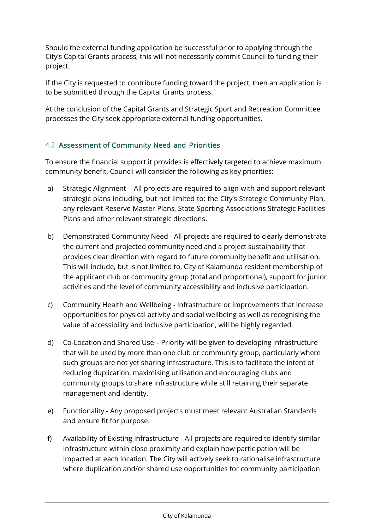Should the external funding application be successful prior to applying through the City's Capital Grants process, this will not necessarily commit Council to funding their project.

If the City is requested to contribute funding toward the project, then an application is to be submitted through the Capital Grants process.

At the conclusion of the Capital Grants and Strategic Sport and Recreation Committee processes the City seek appropriate external funding opportunities.

### 4.2 Assessment of Community Need and Priorities

To ensure the financial support it provides is effectively targeted to achieve maximum community benefit, Council will consider the following as key priorities:

- a) Strategic Alignment All projects are required to align with and support relevant strategic plans including, but not limited to; the City's Strategic Community Plan, any relevant Reserve Master Plans, State Sporting Associations Strategic Facilities Plans and other relevant strategic directions.
- b) Demonstrated Community Need All projects are required to clearly demonstrate the current and projected community need and a project sustainability that provides clear direction with regard to future community benefit and utilisation. This will include, but is not limited to, City of Kalamunda resident membership of the applicant club or community group (total and proportional), support for junior activities and the level of community accessibility and inclusive participation.
- c) Community Health and Wellbeing Infrastructure or improvements that increase opportunities for physical activity and social wellbeing as well as recognising the value of accessibility and inclusive participation, will be highly regarded.
- d) Co-Location and Shared Use Priority will be given to developing infrastructure that will be used by more than one club or community group, particularly where such groups are not yet sharing infrastructure. This is to facilitate the intent of reducing duplication, maximising utilisation and encouraging clubs and community groups to share infrastructure while still retaining their separate management and identity.
- e) Functionality Any proposed projects must meet relevant Australian Standards and ensure fit for purpose.
- f) Availability of Existing Infrastructure All projects are required to identify similar infrastructure within close proximity and explain how participation will be impacted at each location. The City will actively seek to rationalise infrastructure where duplication and/or shared use opportunities for community participation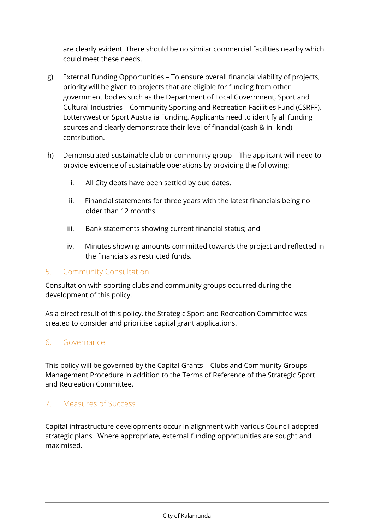are clearly evident. There should be no similar commercial facilities nearby which could meet these needs.

- g) External Funding Opportunities To ensure overall financial viability of projects, priority will be given to projects that are eligible for funding from other government bodies such as the Department of Local Government, Sport and Cultural Industries – Community Sporting and Recreation Facilities Fund (CSRFF), Lotterywest or Sport Australia Funding. Applicants need to identify all funding sources and clearly demonstrate their level of financial (cash & in- kind) contribution.
- h) Demonstrated sustainable club or community group The applicant will need to provide evidence of sustainable operations by providing the following:
	- i. All City debts have been settled by due dates.
	- ii. Financial statements for three years with the latest financials being no older than 12 months.
	- iii. Bank statements showing current financial status; and
	- iv. Minutes showing amounts committed towards the project and reflected in the financials as restricted funds.

## 5. Community Consultation

Consultation with sporting clubs and community groups occurred during the development of this policy.

As a direct result of this policy, the Strategic Sport and Recreation Committee was created to consider and prioritise capital grant applications.

## 6. Governance

This policy will be governed by the Capital Grants – Clubs and Community Groups – Management Procedure in addition to the Terms of Reference of the Strategic Sport and Recreation Committee.

# 7. Measures of Success

Capital infrastructure developments occur in alignment with various Council adopted strategic plans. Where appropriate, external funding opportunities are sought and maximised.